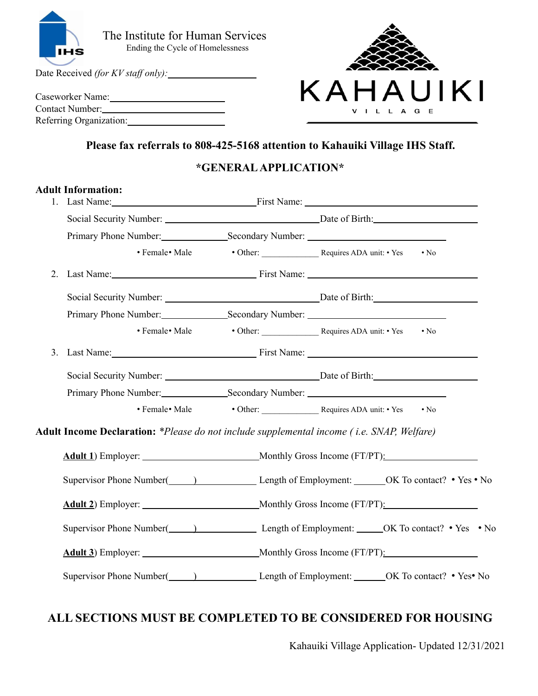

Date Received *(for KV staf only):*

| Caseworker Name:        |  |
|-------------------------|--|
| Contact Number:         |  |
| Referring Organization: |  |



### **Please fax referrals to 808-425-5168 attention to Kahauiki Village IHS Staff.**

### **\*GENERALAPPLICATION\***

|    | <b>Adult Information:</b>                                                                 | Last Name: First Name: First Name:                                                |  |
|----|-------------------------------------------------------------------------------------------|-----------------------------------------------------------------------------------|--|
|    |                                                                                           |                                                                                   |  |
|    |                                                                                           |                                                                                   |  |
|    | • Female• Male                                                                            | $\cdot$ No                                                                        |  |
| 2. |                                                                                           |                                                                                   |  |
|    |                                                                                           | Social Security Number: Date of Birth:                                            |  |
|    | Primary Phone Number: Secondary Number: Secondary Number:                                 |                                                                                   |  |
|    | • Female• Male                                                                            |                                                                                   |  |
|    |                                                                                           | 3. Last Name: First Name:                                                         |  |
|    |                                                                                           |                                                                                   |  |
|    |                                                                                           |                                                                                   |  |
|    |                                                                                           | $\cdot$ No                                                                        |  |
|    | Adult Income Declaration: *Please do not include supplemental income (i.e. SNAP, Welfare) |                                                                                   |  |
|    |                                                                                           |                                                                                   |  |
|    |                                                                                           | Supervisor Phone Number( ) Length of Employment: OK To contact? • Yes • No        |  |
|    |                                                                                           |                                                                                   |  |
|    |                                                                                           | Supervisor Phone Number( ) Length of Employment: _____ OK To contact? • Yes • No  |  |
|    |                                                                                           |                                                                                   |  |
|    |                                                                                           | Supervisor Phone Number( ) Length of Employment: _______ OK To contact? • Yes• No |  |

# **ALL SECTIONS MUST BE COMPLETED TO BE CONSIDERED FOR HOUSING**

Kahauiki Village Application- Updated 12/31/2021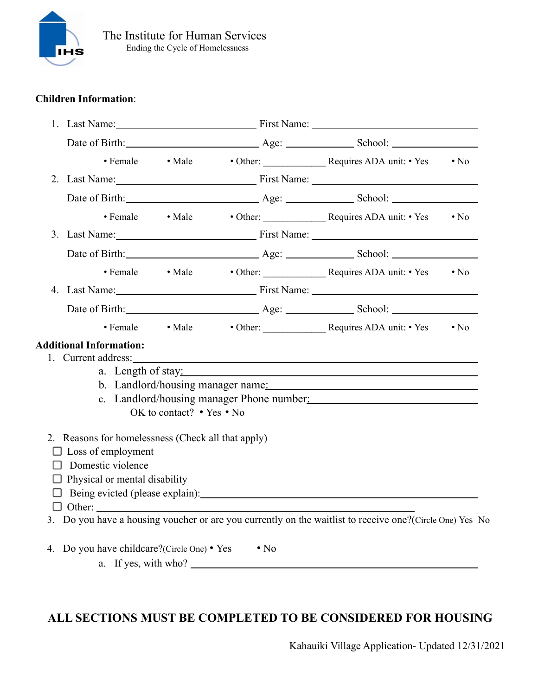

### **Children Information**:

|   |                                                                                                                                              |                           | 1. Last Name: First Name: |            |                                                                                                           |            |
|---|----------------------------------------------------------------------------------------------------------------------------------------------|---------------------------|---------------------------|------------|-----------------------------------------------------------------------------------------------------------|------------|
|   | Date of Birth: <u>Age:</u> Age: School:                                                                                                      |                           |                           |            |                                                                                                           |            |
|   | • Female • Male                                                                                                                              |                           |                           |            |                                                                                                           | $\cdot$ No |
|   |                                                                                                                                              |                           |                           |            | 2. Last Name: First Name: First Name:                                                                     |            |
|   |                                                                                                                                              |                           |                           |            |                                                                                                           |            |
|   | • Female • Male                                                                                                                              |                           |                           |            | • Other: Requires ADA unit: • Yes                                                                         | $\cdot$ No |
|   |                                                                                                                                              |                           |                           |            | 3. Last Name: First Name: First Name:                                                                     |            |
|   |                                                                                                                                              |                           |                           |            | Date of Birth: <u>Age:</u> Age: School:                                                                   |            |
|   | • Female • Male                                                                                                                              |                           |                           |            | • Other: Requires ADA unit: • Yes                                                                         | $\cdot$ No |
|   |                                                                                                                                              |                           |                           |            | 4. Last Name: First Name: First Name:                                                                     |            |
|   |                                                                                                                                              |                           |                           |            |                                                                                                           |            |
|   | • Female • Male                                                                                                                              |                           |                           |            | • Other: Requires ADA unit: • Yes                                                                         | $\cdot$ No |
|   | <b>Additional Information:</b>                                                                                                               | OK to contact? • Yes • No |                           |            | a. Length of stay:<br>b. Landlord/housing manager name:<br>c. Landlord/housing manager Phone number:      |            |
| H | 2. Reasons for homelessness (Check all that apply)<br>$\Box$ Loss of employment<br>Domestic violence<br>$\Box$ Physical or mental disability |                           |                           |            | 3. Do you have a housing voucher or are you currently on the waitlist to receive one? (Circle One) Yes No |            |
|   | 4. Do you have childcare?(Circle One) • Yes                                                                                                  | a. If yes, with who?      |                           | $\cdot$ No |                                                                                                           |            |

## **ALL SECTIONS MUST BE COMPLETED TO BE CONSIDERED FOR HOUSING**

Kahauiki Village Application- Updated 12/31/2021